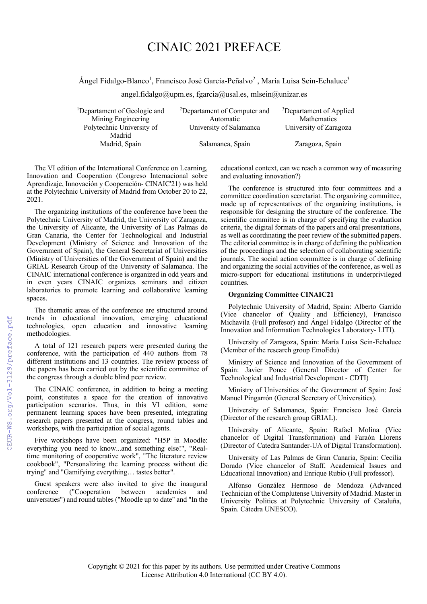# CINAIC 2021 PREFACE

Ángel Fidalgo-Blanco<sup>1</sup>, Francisco José García-Peñalvo<sup>2</sup>, María Luisa Sein-Echaluce<sup>3</sup>

angel.fidalgo@upm.es, fgarcia@usal.es, mlsein@unizar.es

<sup>1</sup>Departament of Geologic and Mining Engineering Polytechnic University of Madrid

2 Departament of Computer and Automatic University of Salamanca University of Zaragoza Madrid, Spain Salamanca, Spain Zaragoza, Spain

3 Departament of Applied Mathematics

The VI edition of the International Conference on Learning, Innovation and Cooperation (Congreso Internacional sobre Aprendizaje, Innovación y Cooperación- CINAIC'21) was held at the Polytechnic University of Madrid from October 20 to 22, 2021.

The organizing institutions of the conference have been the Polytechnic University of Madrid, the University of Zaragoza, the University of Alicante, the University of Las Palmas de Gran Canaria, the Center for Technological and Industrial Development (Ministry of Science and Innovation of the Government of Spain), the General Secretariat of Universities (Ministry of Universities of the Government of Spain) and the GRIAL Research Group of the University of Salamanca. The CINAIC international conference is organized in odd years and in even years CINAIC organizes seminars and citizen laboratories to promote learning and collaborative learning spaces.

The thematic areas of the conference are structured around trends in educational innovation, emerging educational technologies, open education and innovative learning methodologies.

A total of 121 research papers were presented during the conference, with the participation of 440 authors from 78 different institutions and 13 countries. The review process of the papers has been carried out by the scientific committee of the congress through a double blind peer review.

The CINAIC conference, in addition to being a meeting point, constitutes a space for the creation of innovative participation scenarios. Thus, in this VI edition, some permanent learning spaces have been presented, integrating research papers presented at the congress, round tables and workshops, with the participation of social agents.

Five workshops have been organized: "H5P in Moodle: everything you need to know...and something else!", "Realtime monitoring of cooperative work", "The literature review cookbook", "Personalizing the learning process without die trying" and "Gamifying everything… tastes better".

Guest speakers were also invited to give the inaugural conference ("Cooperation between academics and ("Cooperation between academics and universities") and round tables ("Moodle up to date" and "In the educational context, can we reach a common way of measuring and evaluating innovation?)

The conference is structured into four committees and a committee coordination secretariat. The organizing committee, made up of representatives of the organizing institutions, is responsible for designing the structure of the conference. The scientific committee is in charge of specifying the evaluation criteria, the digital formats of the papers and oral presentations, as well as coordinating the peer review of the submitted papers. The editorial committee is in charge of defining the publication of the proceedings and the selection of collaborating scientific journals. The social action committee is in charge of defining and organizing the social activities of the conference, as well as micro-support for educational institutions in underprivileged countries.

### **Organizing Committee CINAIC21**

Polytechnic University of Madrid, Spain: Alberto Garrido (Vice chancelor of Quality and Efficiency), Francisco Michavila (Full profesor) and Ángel Fidalgo (Director of the Innovation and Information Technologies Laboratory- LITI).

University of Zaragoza, Spain: María Luisa Sein-Echaluce (Member of the research group EtnoEdu)

Ministry of Science and Innovation of the Government of Spain: Javier Ponce (General Director of Center for Technological and Industrial Development - CDTI)

Ministry of Universities of the Government of Spain: José Manuel Pingarrón (General Secretary of Universities).

University of Salamanca, Spain: Francisco José García (Director of the research group GRIAL).

University of Alicante, Spain: Rafael Molina (Vice chancelor of Digital Transformation) and Faraón Llorens (Director of Catedra Santander-UA of Digital Transformation).

University of Las Palmas de Gran Canaria, Spain: Cecilia Dorado (Vice chancelor of Staff, Academical Issues and Educational Innovation) and Enrique Rubio (Full professor).

Alfonso González Hermoso de Mendoza (Advanced Technician of the Complutense University of Madrid. Master in University Politics at Polytechnic University of Cataluña, Spain. Cátedra UNESCO).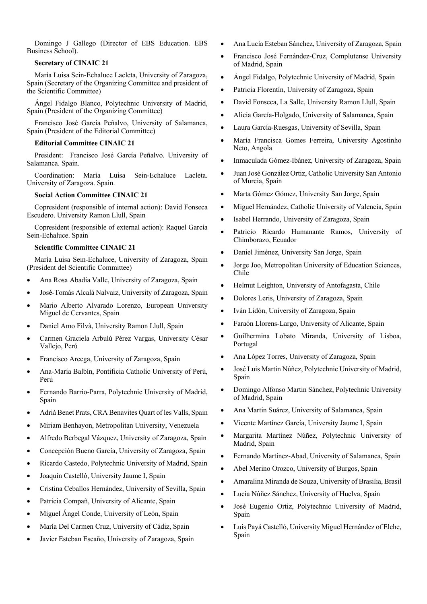Domingo J Gallego (Director of EBS Education. EBS Business School).

#### **Secretary of CINAIC 21**

María Luisa Sein-Echaluce Lacleta, University of Zaragoza, Spain (Secretary of the Organizing Committee and president of the Scientific Committee)

Ángel Fidalgo Blanco, Polytechnic University of Madrid, Spain (President of the Organizing Committee)

Francisco José García Peñalvo, University of Salamanca, Spain (President of the Editorial Committee)

#### **Editorial Committee CINAIC 21**

President: Francisco José García Peñalvo. University of Salamanca. Spain.

Coordination: María Luisa Sein-Echaluce Lacleta. University of Zaragoza. Spain.

## **Social Action Committee CINAIC 21**

Copresident (responsible of internal action): David Fonseca Escudero. University Ramon Llull, Spain

Copresident (responsible of external action): Raquel García Sein-Echaluce. Spain

# **Scientific Committee CINAIC 21**

María Luisa Sein-Echaluce, University of Zaragoza, Spain (President del Scientific Committee)

- Ana Rosa Abadía Valle, University of Zaragoza, Spain
- José-Tomás Alcalá Nalvaiz, University of Zaragoza, Spain
- Mario Alberto Alvarado Lorenzo, European University Miguel de Cervantes, Spain
- Daniel Amo Filvà, University Ramon Llull, Spain
- Carmen Graciela Arbulú Pérez Vargas, University César Vallejo, Perú
- Francisco Arcega, University of Zaragoza, Spain
- Ana-María Balbín, Pontificia Catholic University of Perú, Perú
- Fernando Barrio-Parra, Polytechnic University of Madrid, Spain
- Adrià Benet Prats, CRA Benavites Quart of les Valls, Spain
- Miriam Benhayon, Metropolitan University, Venezuela
- Alfredo Berbegal Vázquez, University of Zaragoza, Spain
- Concepción Bueno García, University of Zaragoza, Spain
- Ricardo Castedo, Polytechnic University of Madrid, Spain
- Joaquín Castelló, University Jaume I, Spain
- Cristina Ceballos Hernández, University of Sevilla, Spain
- Patricia Compañ, University of Alicante, Spain
- Miguel Ángel Conde, University of León, Spain
- María Del Carmen Cruz, University of Cádiz, Spain
- Javier Esteban Escaño, University of Zaragoza, Spain
- Ana Lucía Esteban Sánchez, University of Zaragoza, Spain
- Francisco José Fernández-Cruz, Complutense University of Madrid, Spain
- Ángel Fidalgo, Polytechnic University of Madrid, Spain
- Patricia Florentín, University of Zaragoza, Spain
- David Fonseca, La Salle, University Ramon Llull, Spain
- Alicia García-Holgado, University of Salamanca, Spain
- Laura García-Ruesgas, University of Sevilla, Spain
- María Francisca Gomes Ferreira, University Agostinho Neto, Angola
- Inmaculada Gómez-Ibánez, University of Zaragoza, Spain
- Juan José González Ortiz, Catholic University San Antonio of Murcia, Spain
- Marta Gómez Gómez, University San Jorge, Spain
- Miguel Hernández, Catholic University of Valencia, Spain
- Isabel Herrando, University of Zaragoza, Spain
- Patricio Ricardo Humanante Ramos, University of Chimborazo, Ecuador
- Daniel Jiménez, University San Jorge, Spain
- Jorge Joo, Metropolitan University of Education Sciences, Chile
- Helmut Leighton, University of Antofagasta, Chile
- Dolores Leris, University of Zaragoza, Spain
- Iván Lidón, University of Zaragoza, Spain
- Faraón Llorens-Largo, University of Alicante, Spain
- Guilhermina Lobato Miranda, University of Lisboa, Portugal
- Ana López Torres, University of Zaragoza, Spain
- José Luis Martin Núñez, Polytechnic University of Madrid, Spain
- Domingo Alfonso Martin Sánchez, Polytechnic University of Madrid, Spain
- Ana Martin Suárez, University of Salamanca, Spain
- Vicente Martínez García, University Jaume I, Spain
- Margarita Martínez Núñez, Polytechnic University of Madrid, Spain
- Fernando Martínez-Abad, University of Salamanca, Spain
- Abel Merino Orozco, University of Burgos, Spain
- Amaralina Miranda de Souza, University of Brasilia, Brasil
- Lucia Núñez Sánchez, University of Huelva, Spain
- José Eugenio Ortiz, Polytechnic University of Madrid, Spain
- Luis Payá Castelló, University Miguel Hernández of Elche, Spain